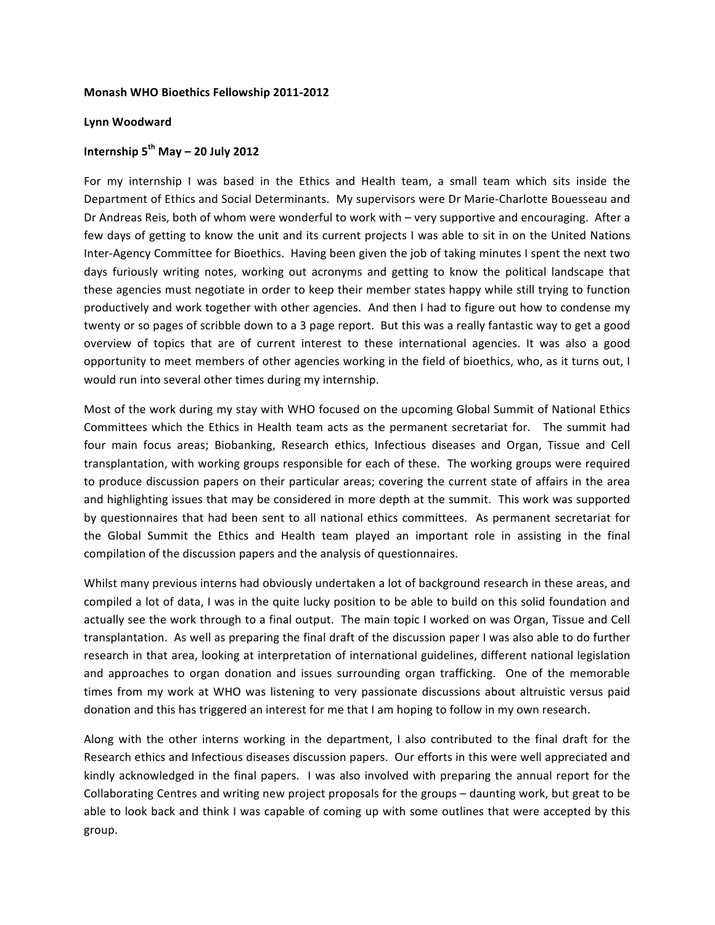## **Monash'WHO'Bioethics'Fellowship'201172012**

## **Lynn'Woodward**

## **Internship'5th May'– 20'July'2012**

For my internship I was based in the Ethics and Health team, a small team which sits inside the Department of Ethics and Social Determinants. My supervisors were Dr Marie-Charlotte Bouesseau and Dr Andreas Reis, both of whom were wonderful to work with – very supportive and encouraging. After a few days of getting to know the unit and its current projects I was able to sit in on the United Nations Inter-Agency Committee for Bioethics. Having been given the job of taking minutes I spent the next two days furiously writing notes, working out acronyms and getting to know the political landscape that these agencies must negotiate in order to keep their member states happy while still trying to function productively and work together with other agencies. And then I had to figure out how to condense my twenty or so pages of scribble down to a 3 page report. But this was a really fantastic way to get a good overview of topics that are of current interest to these international agencies. It was also a good opportunity to meet members of other agencies working in the field of bioethics, who, as it turns out, I would run into several other times during my internship.

Most of the work during my stay with WHO focused on the upcoming Global Summit of National Ethics Committees which the Ethics in Health team acts as the permanent secretariat for. The summit had four main focus areas; Biobanking, Research ethics, Infectious diseases and Organ, Tissue and Cell transplantation, with working groups responsible for each of these. The working groups were required to produce discussion papers on their particular areas; covering the current state of affairs in the area and highlighting issues that may be considered in more depth at the summit. This work was supported by questionnaires that had been sent to all national ethics committees. As permanent secretariat for the Global Summit the Ethics and Health team played an important role in assisting in the final compilation of the discussion papers and the analysis of questionnaires.

Whilst many previous interns had obviously undertaken a lot of background research in these areas, and compiled a lot of data, I was in the quite lucky position to be able to build on this solid foundation and actually see the work through to a final output. The main topic I worked on was Organ, Tissue and Cell transplantation. As well as preparing the final draft of the discussion paper I was also able to do further research in that area, looking at interpretation of international guidelines, different national legislation and approaches to organ donation and issues surrounding organ trafficking. One of the memorable times from my work at WHO was listening to very passionate discussions about altruistic versus paid donation and this has triggered an interest for me that I am hoping to follow in my own research.

Along with the other interns working in the department, I also contributed to the final draft for the Research ethics and Infectious diseases discussion papers. Our efforts in this were well appreciated and kindly acknowledged in the final papers. I was also involved with preparing the annual report for the Collaborating Centres and writing new project proposals for the groups – daunting work, but great to be able to look back and think I was capable of coming up with some outlines that were accepted by this group.